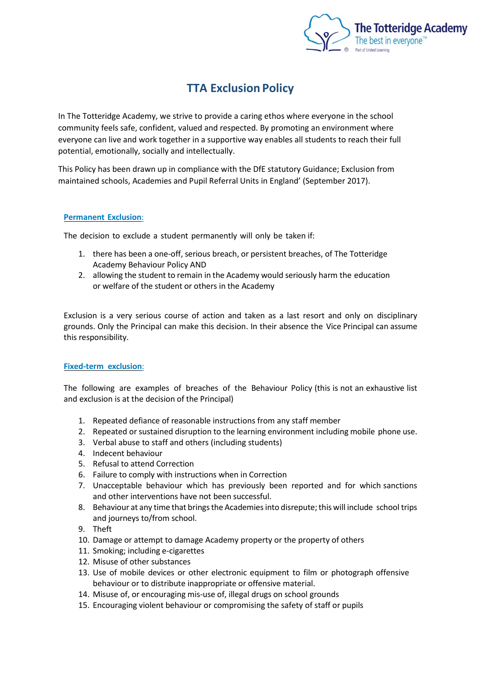

# **TTA Exclusion Policy**

In The Totteridge Academy, we strive to provide a caring ethos where everyone in the school community feels safe, confident, valued and respected. By promoting an environment where everyone can live and work together in a supportive way enables all students to reach their full potential, emotionally, socially and intellectually.

This Policy has been drawn up in compliance with the DfE statutory Guidance; Exclusion from maintained schools, Academies and Pupil Referral Units in England' (September 2017).

# **Permanent Exclusion**:

The decision to exclude a student permanently will only be taken if:

- 1. there has been a one-off, serious breach, or persistent breaches, of The Totteridge Academy Behaviour Policy AND
- 2. allowing the student to remain in the Academy would seriously harm the education or welfare of the student or others in the Academy

Exclusion is a very serious course of action and taken as a last resort and only on disciplinary grounds. Only the Principal can make this decision. In their absence the Vice Principal can assume this responsibility.

# **Fixed-term exclusion**:

The following are examples of breaches of the Behaviour Policy (this is not an exhaustive list and exclusion is at the decision of the Principal)

- 1. Repeated defiance of reasonable instructions from any staff member
- 2. Repeated or sustained disruption to the learning environment including mobile phone use.
- 3. Verbal abuse to staff and others (including students)
- 4. Indecent behaviour
- 5. Refusal to attend Correction
- 6. Failure to comply with instructions when in Correction
- 7. Unacceptable behaviour which has previously been reported and for which sanctions and other interventions have not been successful.
- 8. Behaviour at any time that brings the Academies into disrepute; this will include school trips and journeys to/from school.
- 9. Theft
- 10. Damage or attempt to damage Academy property or the property of others
- 11. Smoking; including e-cigarettes
- 12. Misuse of other substances
- 13. Use of mobile devices or other electronic equipment to film or photograph offensive behaviour or to distribute inappropriate or offensive material.
- 14. Misuse of, or encouraging mis-use of, illegal drugs on school grounds
- 15. Encouraging violent behaviour or compromising the safety of staff or pupils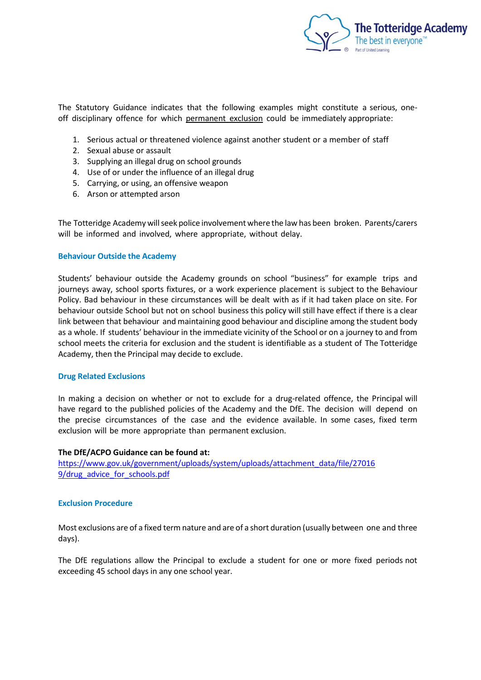

The Statutory Guidance indicates that the following examples might constitute a serious, oneoff disciplinary offence for which permanent exclusion could be immediately appropriate:

- 1. Serious actual or threatened violence against another student or a member of staff
- 2. Sexual abuse or assault
- 3. Supplying an illegal drug on school grounds
- 4. Use of or under the influence of an illegal drug
- 5. Carrying, or using, an offensive weapon
- 6. Arson or attempted arson

The Totteridge Academy will seek police involvement where the law has been broken. Parents/carers will be informed and involved, where appropriate, without delay.

#### **Behaviour Outside the Academy**

Students' behaviour outside the Academy grounds on school "business" for example trips and journeys away, school sports fixtures, or a work experience placement is subject to the Behaviour Policy. Bad behaviour in these circumstances will be dealt with as if it had taken place on site. For behaviour outside School but not on school business this policy will still have effect if there is a clear link between that behaviour and maintaining good behaviour and discipline among the student body as a whole. If students' behaviour in the immediate vicinity of the School or on a journey to and from school meets the criteria for exclusion and the student is identifiable as a student of The Totteridge Academy, then the Principal may decide to exclude.

#### **Drug Related Exclusions**

In making a decision on whether or not to exclude for a drug-related offence, the Principal will have regard to the published policies of the Academy and the DfE. The decision will depend on the precise circumstances of the case and the evidence available. In some cases, fixed term exclusion will be more appropriate than permanent exclusion.

#### **The DfE/ACPO Guidance can be found at:**

[https://www.gov.uk/government/uploads/system/uploads/attachment\\_data/file/27016](http://www.gov.uk/government/uploads/system/uploads/attachment_data/file/27016) 9/drug\_advice\_for\_schools.pdf

#### **Exclusion Procedure**

Most exclusions are of a fixed term nature and are of a short duration (usually between one and three days).

The DfE regulations allow the Principal to exclude a student for one or more fixed periods not exceeding 45 school days in any one school year.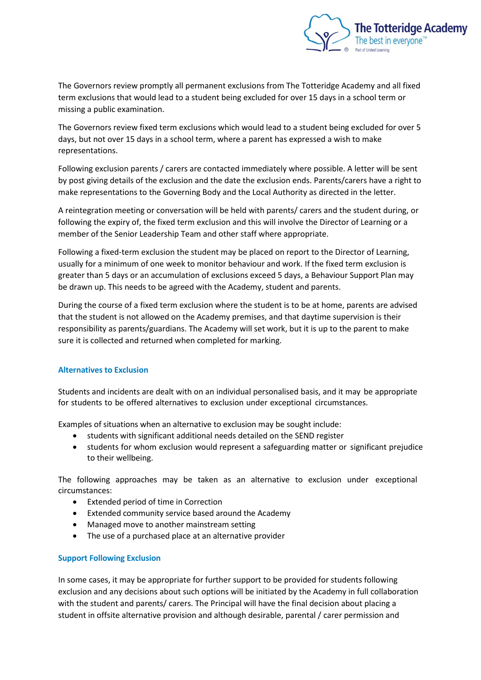

The Governors review promptly all permanent exclusions from The Totteridge Academy and all fixed term exclusions that would lead to a student being excluded for over 15 days in a school term or missing a public examination.

The Governors review fixed term exclusions which would lead to a student being excluded for over 5 days, but not over 15 days in a school term, where a parent has expressed a wish to make representations.

Following exclusion parents / carers are contacted immediately where possible. A letter will be sent by post giving details of the exclusion and the date the exclusion ends. Parents/carers have a right to make representations to the Governing Body and the Local Authority as directed in the letter.

A reintegration meeting or conversation will be held with parents/ carers and the student during, or following the expiry of, the fixed term exclusion and this will involve the Director of Learning or a member of the Senior Leadership Team and other staff where appropriate.

Following a fixed-term exclusion the student may be placed on report to the Director of Learning, usually for a minimum of one week to monitor behaviour and work. If the fixed term exclusion is greater than 5 days or an accumulation of exclusions exceed 5 days, a Behaviour Support Plan may be drawn up. This needs to be agreed with the Academy, student and parents.

During the course of a fixed term exclusion where the student is to be at home, parents are advised that the student is not allowed on the Academy premises, and that daytime supervision is their responsibility as parents/guardians. The Academy will set work, but it is up to the parent to make sure it is collected and returned when completed for marking.

# **Alternatives to Exclusion**

Students and incidents are dealt with on an individual personalised basis, and it may be appropriate for students to be offered alternatives to exclusion under exceptional circumstances.

Examples of situations when an alternative to exclusion may be sought include:

- students with significant additional needs detailed on the SEND register
- students for whom exclusion would represent a safeguarding matter or significant prejudice to their wellbeing.

The following approaches may be taken as an alternative to exclusion under exceptional circumstances:

- Extended period of time in Correction
- Extended community service based around the Academy
- Managed move to another mainstream setting
- The use of a purchased place at an alternative provider

# **Support Following Exclusion**

In some cases, it may be appropriate for further support to be provided for students following exclusion and any decisions about such options will be initiated by the Academy in full collaboration with the student and parents/ carers. The Principal will have the final decision about placing a student in offsite alternative provision and although desirable, parental / carer permission and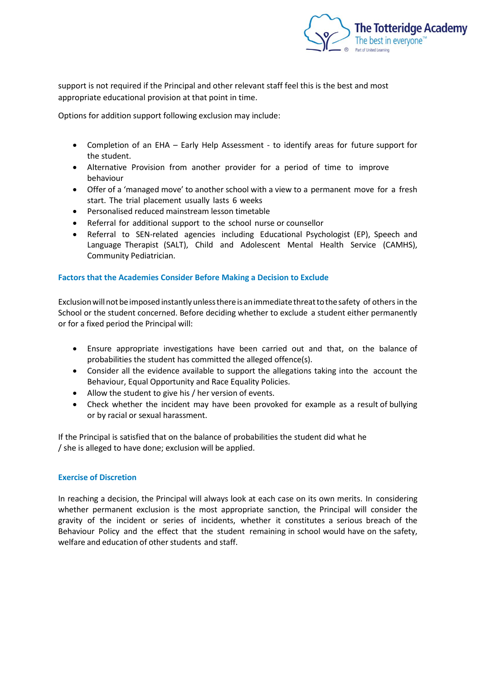

support is not required if the Principal and other relevant staff feel this is the best and most appropriate educational provision at that point in time.

Options for addition support following exclusion may include:

- Completion of an EHA Early Help Assessment to identify areas for future support for the student.
- Alternative Provision from another provider for a period of time to improve behaviour
- Offer of a 'managed move' to another school with a view to a permanent move for a fresh start. The trial placement usually lasts 6 weeks
- Personalised reduced mainstream lesson timetable
- Referral for additional support to the school nurse or counsellor
- Referral to SEN-related agencies including Educational Psychologist (EP), Speech and Language Therapist (SALT), Child and Adolescent Mental Health Service (CAMHS), Community Pediatrician.

# **Factors that the Academies Consider Before Making a Decision to Exclude**

Exclusion will not be imposed instantly unless there is an immediate threat to the safety of others in the School or the student concerned. Before deciding whether to exclude a student either permanently or for a fixed period the Principal will:

- Ensure appropriate investigations have been carried out and that, on the balance of probabilities the student has committed the alleged offence(s).
- Consider all the evidence available to support the allegations taking into the account the Behaviour, Equal Opportunity and Race Equality Policies.
- Allow the student to give his / her version of events.
- Check whether the incident may have been provoked for example as a result of bullying or by racial or sexual harassment.

If the Principal is satisfied that on the balance of probabilities the student did what he / she is alleged to have done; exclusion will be applied.

# **Exercise of Discretion**

In reaching a decision, the Principal will always look at each case on its own merits. In considering whether permanent exclusion is the most appropriate sanction, the Principal will consider the gravity of the incident or series of incidents, whether it constitutes a serious breach of the Behaviour Policy and the effect that the student remaining in school would have on the safety, welfare and education of other students and staff.